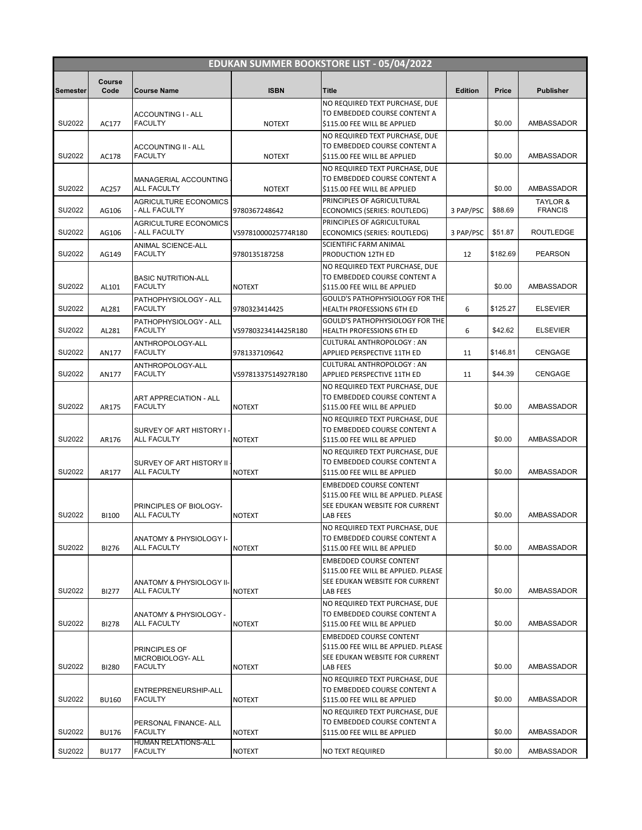| <b>EDUKAN SUMMER BOOKSTORE LIST - 05/04/2022</b> |                |                                                |                     |                                                                        |                |          |                            |  |
|--------------------------------------------------|----------------|------------------------------------------------|---------------------|------------------------------------------------------------------------|----------------|----------|----------------------------|--|
| Semester                                         | Course<br>Code | <b>Course Name</b>                             | <b>ISBN</b>         | <b>Title</b>                                                           | <b>Edition</b> | Price    | <b>Publisher</b>           |  |
|                                                  |                |                                                |                     | NO REQUIRED TEXT PURCHASE, DUE                                         |                |          |                            |  |
|                                                  |                | ACCOUNTING I - ALL                             |                     | TO EMBEDDED COURSE CONTENT A                                           |                |          |                            |  |
| SU2022                                           | AC177          | <b>FACULTY</b>                                 | <b>NOTEXT</b>       | \$115.00 FEE WILL BE APPLIED                                           |                | \$0.00   | AMBASSADOR                 |  |
|                                                  |                | <b>ACCOUNTING II - ALL</b>                     |                     | NO REQUIRED TEXT PURCHASE, DUE<br>TO EMBEDDED COURSE CONTENT A         |                |          |                            |  |
| SU2022                                           | AC178          | <b>FACULTY</b>                                 | <b>NOTEXT</b>       | \$115.00 FEE WILL BE APPLIED                                           |                | \$0.00   | AMBASSADOR                 |  |
|                                                  |                |                                                |                     | NO REQUIRED TEXT PURCHASE. DUE                                         |                |          |                            |  |
|                                                  |                | MANAGERIAL ACCOUNTING                          |                     | TO EMBEDDED COURSE CONTENT A                                           |                |          |                            |  |
| SU2022                                           | AC257          | <b>ALL FACULTY</b>                             | <b>NOTEXT</b>       | \$115.00 FEE WILL BE APPLIED                                           |                | \$0.00   | AMBASSADOR                 |  |
| SU2022                                           | AG106          | <b>AGRICULTURE ECONOMICS</b><br>- ALL FACULTY  | 9780367248642       | PRINCIPLES OF AGRICULTURAL<br>ECONOMICS (SERIES: ROUTLEDG)             | 3 PAP/PSC      | \$88.69  | TAYLOR &<br><b>FRANCIS</b> |  |
|                                                  |                | <b>AGRICULTURE ECONOMICS</b>                   |                     | PRINCIPLES OF AGRICULTURAL                                             |                |          |                            |  |
| SU2022                                           | AG106          | - ALL FACULTY                                  | VS9781000025774R180 | ECONOMICS (SERIES: ROUTLEDG)                                           | 3 PAP/PSC      | \$51.87  | <b>ROUTLEDGE</b>           |  |
|                                                  |                | ANIMAL SCIENCE-ALL                             |                     | SCIENTIFIC FARM ANIMAL                                                 |                |          |                            |  |
| SU2022                                           | AG149          | <b>FACULTY</b>                                 | 9780135187258       | PRODUCTION 12TH ED                                                     | 12             | \$182.69 | <b>PEARSON</b>             |  |
|                                                  |                | <b>BASIC NUTRITION-ALL</b>                     |                     | NO REQUIRED TEXT PURCHASE, DUE<br>TO EMBEDDED COURSE CONTENT A         |                |          |                            |  |
| SU2022                                           | AL101          | <b>FACULTY</b>                                 | <b>NOTEXT</b>       | \$115.00 FEE WILL BE APPLIED                                           |                | \$0.00   | AMBASSADOR                 |  |
|                                                  |                | PATHOPHYSIOLOGY - ALL                          |                     | GOULD'S PATHOPHYSIOLOGY FOR THE                                        |                |          |                            |  |
| SU2022                                           | AL281          | <b>FACULTY</b>                                 | 9780323414425       | <b>HEALTH PROFESSIONS 6TH ED</b>                                       | 6              | \$125.27 | <b>ELSEVIER</b>            |  |
| SU2022                                           | AL281          | PATHOPHYSIOLOGY - ALL<br><b>FACULTY</b>        | VS9780323414425R180 | GOULD'S PATHOPHYSIOLOGY FOR THE<br>HEALTH PROFESSIONS 6TH ED           | 6              | \$42.62  | <b>ELSEVIER</b>            |  |
|                                                  |                | ANTHROPOLOGY-ALL                               |                     | <b>CULTURAL ANTHROPOLOGY: AN</b>                                       |                |          |                            |  |
| SU2022                                           | AN177          | <b>FACULTY</b>                                 | 9781337109642       | APPLIED PERSPECTIVE 11TH ED                                            | 11             | \$146.81 | <b>CENGAGE</b>             |  |
|                                                  |                | ANTHROPOLOGY-ALL                               |                     | CULTURAL ANTHROPOLOGY: AN                                              |                |          |                            |  |
| SU2022                                           | AN177          | <b>FACULTY</b>                                 | VS9781337514927R180 | APPLIED PERSPECTIVE 11TH ED                                            | 11             | \$44.39  | <b>CENGAGE</b>             |  |
|                                                  |                |                                                |                     | NO REQUIRED TEXT PURCHASE, DUE                                         |                |          |                            |  |
| SU2022                                           | AR175          | ART APPRECIATION - ALL<br><b>FACULTY</b>       | <b>NOTEXT</b>       | TO EMBEDDED COURSE CONTENT A<br>\$115.00 FEE WILL BE APPLIED           |                | \$0.00   | AMBASSADOR                 |  |
|                                                  |                |                                                |                     | NO REQUIRED TEXT PURCHASE, DUE                                         |                |          |                            |  |
|                                                  |                | SURVEY OF ART HISTORY I-                       |                     | TO EMBEDDED COURSE CONTENT A                                           |                |          |                            |  |
| SU2022                                           | AR176          | <b>ALL FACULTY</b>                             | <b>NOTEXT</b>       | \$115.00 FEE WILL BE APPLIED                                           |                | \$0.00   | AMBASSADOR                 |  |
|                                                  |                |                                                |                     | NO REQUIRED TEXT PURCHASE, DUE<br>TO EMBEDDED COURSE CONTENT A         |                |          |                            |  |
| SU2022                                           | AR177          | SURVEY OF ART HISTORY II<br><b>ALL FACULTY</b> | <b>NOTEXT</b>       | \$115.00 FEE WILL BE APPLIED                                           |                | \$0.00   | AMBASSADOR                 |  |
|                                                  |                |                                                |                     | <b>EMBEDDED COURSE CONTENT</b>                                         |                |          |                            |  |
|                                                  |                |                                                |                     | \$115.00 FEE WILL BE APPLIED. PLEASE                                   |                |          |                            |  |
|                                                  |                | PRINCIPLES OF BIOLOGY-                         |                     | SEE EDUKAN WEBSITE FOR CURRENT                                         |                |          |                            |  |
| SU2022                                           | <b>BI100</b>   | <b>ALL FACULTY</b>                             | <b>NOTEXT</b>       | LAB FEES<br>NO REQUIRED TEXT PURCHASE, DUE                             |                | \$0.00   | AMBASSADOR                 |  |
|                                                  |                | ANATOMY & PHYSIOLOGY I-                        |                     | TO EMBEDDED COURSE CONTENT A                                           |                |          |                            |  |
| SU2022                                           | <b>BI276</b>   | <b>ALL FACULTY</b>                             | <b>NOTEXT</b>       | \$115.00 FEE WILL BE APPLIED                                           |                | \$0.00   | AMBASSADOR                 |  |
|                                                  |                |                                                |                     | <b>EMBEDDED COURSE CONTENT</b>                                         |                |          |                            |  |
|                                                  |                |                                                |                     | \$115.00 FEE WILL BE APPLIED. PLEASE                                   |                |          |                            |  |
| SU2022                                           | <b>BI277</b>   | ANATOMY & PHYSIOLOGY II-<br>ALL FACULTY        | <b>NOTEXT</b>       | SEE EDUKAN WEBSITE FOR CURRENT<br>LAB FEES                             |                | \$0.00   | AMBASSADOR                 |  |
|                                                  |                |                                                |                     | NO REQUIRED TEXT PURCHASE, DUE                                         |                |          |                            |  |
|                                                  |                | ANATOMY & PHYSIOLOGY -                         |                     | TO EMBEDDED COURSE CONTENT A                                           |                |          |                            |  |
| SU2022                                           | <b>BI278</b>   | ALL FACULTY                                    | <b>NOTEXT</b>       | \$115.00 FEE WILL BE APPLIED                                           |                | \$0.00   | AMBASSADOR                 |  |
|                                                  |                |                                                |                     | <b>EMBEDDED COURSE CONTENT</b>                                         |                |          |                            |  |
|                                                  |                | PRINCIPLES OF<br>MICROBIOLOGY- ALL             |                     | \$115.00 FEE WILL BE APPLIED. PLEASE<br>SEE EDUKAN WEBSITE FOR CURRENT |                |          |                            |  |
| SU2022                                           | <b>BI280</b>   | <b>FACULTY</b>                                 | <b>NOTEXT</b>       | LAB FEES                                                               |                | \$0.00   | AMBASSADOR                 |  |
|                                                  |                |                                                |                     | NO REQUIRED TEXT PURCHASE, DUE                                         |                |          |                            |  |
|                                                  |                | ENTREPRENEURSHIP-ALL                           |                     | TO EMBEDDED COURSE CONTENT A                                           |                |          |                            |  |
| SU2022                                           | <b>BU160</b>   | <b>FACULTY</b>                                 | <b>NOTEXT</b>       | \$115.00 FEE WILL BE APPLIED                                           |                | \$0.00   | AMBASSADOR                 |  |
|                                                  |                | PERSONAL FINANCE- ALL                          |                     | NO REQUIRED TEXT PURCHASE, DUE<br>TO EMBEDDED COURSE CONTENT A         |                |          |                            |  |
| SU2022                                           | <b>BU176</b>   | <b>FACULTY</b>                                 | <b>NOTEXT</b>       | \$115.00 FEE WILL BE APPLIED                                           |                | \$0.00   | AMBASSADOR                 |  |
| SU2022                                           | <b>BU177</b>   | HUMAN RELATIONS-ALL<br><b>FACULTY</b>          | <b>NOTEXT</b>       | NO TEXT REQUIRED                                                       |                | \$0.00   | AMBASSADOR                 |  |
|                                                  |                |                                                |                     |                                                                        |                |          |                            |  |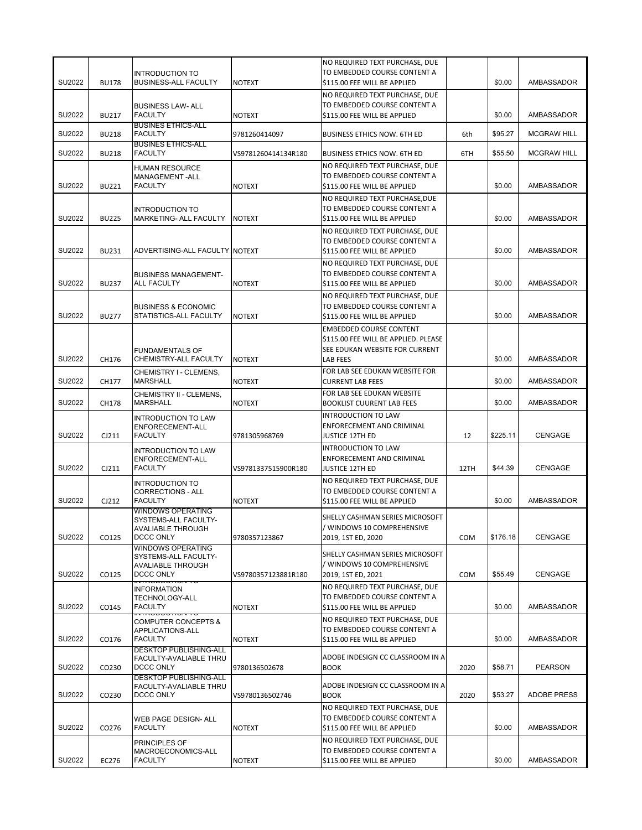|        |              | <b>INTRODUCTION TO</b>                                      |                     | NO REQUIRED TEXT PURCHASE, DUE<br>TO EMBEDDED COURSE CONTENT A                                 |            |          |                    |
|--------|--------------|-------------------------------------------------------------|---------------------|------------------------------------------------------------------------------------------------|------------|----------|--------------------|
| SU2022 | <b>BU178</b> | <b>BUSINESS-ALL FACULTY</b>                                 | <b>NOTEXT</b>       | \$115.00 FEE WILL BE APPLIED                                                                   |            | \$0.00   | AMBASSADOR         |
| SU2022 | <b>BU217</b> | <b>BUSINESS LAW- ALL</b><br><b>FACULTY</b>                  | <b>NOTEXT</b>       | NO REQUIRED TEXT PURCHASE, DUE<br>TO EMBEDDED COURSE CONTENT A<br>\$115.00 FEE WILL BE APPLIED |            | \$0.00   | AMBASSADOR         |
| SU2022 | <b>BU218</b> | <b>BUSINES ETHICS-ALL</b><br><b>FACULTY</b>                 | 9781260414097       | <b>BUSINESS ETHICS NOW. 6TH ED</b>                                                             | 6th        | \$95.27  | <b>MCGRAW HILL</b> |
| SU2022 | <b>BU218</b> | <b>BUSINES ETHICS-ALL</b><br><b>FACULTY</b>                 | VS9781260414134R180 | <b>BUSINESS ETHICS NOW. 6TH ED</b>                                                             | 6TH        | \$55.50  | <b>MCGRAW HILL</b> |
|        |              | <b>HUMAN RESOURCE</b>                                       |                     | NO REQUIRED TEXT PURCHASE, DUE                                                                 |            |          |                    |
| SU2022 | <b>BU221</b> | MANAGEMENT-ALL<br><b>FACULTY</b>                            | <b>NOTEXT</b>       | TO EMBEDDED COURSE CONTENT A                                                                   |            | \$0.00   | AMBASSADOR         |
|        |              |                                                             |                     | \$115.00 FEE WILL BE APPLIED<br>NO REQUIRED TEXT PURCHASE, DUE                                 |            |          |                    |
|        |              | <b>INTRODUCTION TO</b>                                      |                     | TO EMBEDDED COURSE CONTENT A                                                                   |            |          |                    |
| SU2022 | <b>BU225</b> | MARKETING- ALL FACULTY                                      | <b>NOTEXT</b>       | \$115.00 FEE WILL BE APPLIED                                                                   |            | \$0.00   | AMBASSADOR         |
|        |              |                                                             |                     | NO REQUIRED TEXT PURCHASE, DUE<br>TO EMBEDDED COURSE CONTENT A                                 |            |          |                    |
| SU2022 | <b>BU231</b> | ADVERTISING-ALL FACULTY NOTEXT                              |                     | \$115.00 FEE WILL BE APPLIED                                                                   |            | \$0.00   | AMBASSADOR         |
|        |              |                                                             |                     | NO REQUIRED TEXT PURCHASE, DUE                                                                 |            |          |                    |
| SU2022 | <b>BU237</b> | <b>BUSINESS MANAGEMENT-</b><br><b>ALL FACULTY</b>           | <b>NOTEXT</b>       | TO EMBEDDED COURSE CONTENT A<br>\$115.00 FEE WILL BE APPLIED                                   |            | \$0.00   | AMBASSADOR         |
|        |              |                                                             |                     | NO REQUIRED TEXT PURCHASE, DUE                                                                 |            |          |                    |
|        |              | <b>BUSINESS &amp; ECONOMIC</b>                              |                     | TO EMBEDDED COURSE CONTENT A                                                                   |            |          |                    |
| SU2022 | <b>BU277</b> | STATISTICS-ALL FACULTY                                      | <b>NOTEXT</b>       | \$115.00 FEE WILL BE APPLIED                                                                   |            | \$0.00   | AMBASSADOR         |
|        |              |                                                             |                     | <b>EMBEDDED COURSE CONTENT</b><br>\$115.00 FEE WILL BE APPLIED. PLEASE                         |            |          |                    |
|        |              | <b>FUNDAMENTALS OF</b>                                      |                     | SEE EDUKAN WEBSITE FOR CURRENT                                                                 |            |          |                    |
| SU2022 | CH176        | CHEMISTRY-ALL FACULTY                                       | <b>NOTEXT</b>       | <b>LAB FEES</b>                                                                                |            | \$0.00   | AMBASSADOR         |
| SU2022 | CH177        | CHEMISTRY I - CLEMENS,<br>MARSHALL                          | <b>NOTEXT</b>       | FOR LAB SEE EDUKAN WEBSITE FOR<br><b>CURRENT LAB FEES</b>                                      |            | \$0.00   | AMBASSADOR         |
| SU2022 | CH178        | CHEMISTRY II - CLEMENS,<br><b>MARSHALL</b>                  | <b>NOTEXT</b>       | FOR LAB SEE EDUKAN WEBSITE<br><b>BOOKLIST CUURENT LAB FEES</b>                                 |            | \$0.00   | AMBASSADOR         |
|        |              | <b>INTRODUCTION TO LAW</b>                                  |                     | <b>INTRODUCTION TO LAW</b><br>ENFORECEMENT AND CRIMINAL                                        |            |          |                    |
| SU2022 | CJ211        | ENFORECEMENT-ALL<br><b>FACULTY</b>                          | 9781305968769       | <b>JUSTICE 12TH ED</b>                                                                         | 12         | \$225.11 | <b>CENGAGE</b>     |
|        |              | <b>INTRODUCTION TO LAW</b>                                  |                     | <b>INTRODUCTION TO LAW</b>                                                                     |            |          |                    |
| SU2022 | CJ211        | ENFORECEMENT-ALL<br><b>FACULTY</b>                          | VS9781337515900R180 | ENFORECEMENT AND CRIMINAL<br><b>JUSTICE 12TH ED</b>                                            | 12TH       | \$44.39  | CENGAGE            |
|        |              | <b>INTRODUCTION TO</b>                                      |                     | NO REQUIRED TEXT PURCHASE, DUE                                                                 |            |          |                    |
|        |              | <b>CORRECTIONS - ALL</b>                                    |                     | TO EMBEDDED COURSE CONTENT A                                                                   |            |          |                    |
| SU2022 | CJ212        | <b>FACULTY</b><br><b>WINDOWS OPERATING</b>                  | <b>NOTEXT</b>       | \$115.00 FEE WILL BE APPLIED                                                                   |            | \$0.00   | AMBASSADOR         |
|        |              | SYSTEMS-ALL FACULTY-                                        |                     | SHELLY CASHMAN SERIES MICROSOFT                                                                |            |          |                    |
| SU2022 | CO125        | <b>AVALIABLE THROUGH</b><br><b>DCCC ONLY</b>                | 9780357123867       | WINDOWS 10 COMPREHENSIVE<br>2019, 1ST ED, 2020                                                 | <b>COM</b> | \$176.18 | <b>CENGAGE</b>     |
|        |              | <b>WINDOWS OPERATING</b>                                    |                     |                                                                                                |            |          |                    |
|        |              | SYSTEMS-ALL FACULTY-<br><b>AVALIABLE THROUGH</b>            |                     | SHELLY CASHMAN SERIES MICROSOFT<br>/ WINDOWS 10 COMPREHENSIVE                                  |            |          |                    |
| SU2022 | CO125        | <b>DCCC ONLY</b>                                            | VS9780357123881R180 | 2019, 1ST ED, 2021                                                                             | <b>COM</b> | \$55.49  | <b>CENGAGE</b>     |
|        |              | <del>mnopoono</del><br><b>INFORMATION</b>                   |                     | NO REQUIRED TEXT PURCHASE, DUE                                                                 |            |          |                    |
| SU2022 | CO145        | TECHNOLOGY-ALL<br><b>FACULTY</b>                            | <b>NOTEXT</b>       | TO EMBEDDED COURSE CONTENT A<br>\$115.00 FEE WILL BE APPLIED                                   |            | \$0.00   | <b>AMBASSADOR</b>  |
|        |              | <del>זוטווטטטטאוויז</del><br><b>COMPUTER CONCEPTS &amp;</b> |                     | NO REQUIRED TEXT PURCHASE, DUE                                                                 |            |          |                    |
|        |              | APPLICATIONS-ALL                                            |                     | TO EMBEDDED COURSE CONTENT A                                                                   |            |          |                    |
| SU2022 | CO176        | <b>FACULTY</b><br><b>DESKTOP PUBLISHING-ALL</b>             | <b>NOTEXT</b>       | \$115.00 FEE WILL BE APPLIED                                                                   |            | \$0.00   | AMBASSADOR         |
| SU2022 | CO230        | FACULTY-AVALIABLE THRU<br>DCCC ONLY                         | 9780136502678       | ADOBE INDESIGN CC CLASSROOM IN A<br><b>BOOK</b>                                                | 2020       | \$58.71  | <b>PEARSON</b>     |
|        |              | <b>DESKTOP PUBLISHING-ALL</b><br>FACULTY-AVALIABLE THRU     |                     | ADOBE INDESIGN CC CLASSROOM IN A                                                               |            |          |                    |
| SU2022 | CO230        | DCCC ONLY                                                   | VS9780136502746     | <b>BOOK</b>                                                                                    | 2020       | \$53.27  | <b>ADOBE PRESS</b> |
|        |              |                                                             |                     | NO REQUIRED TEXT PURCHASE, DUE                                                                 |            |          |                    |
| SU2022 | CO276        | WEB PAGE DESIGN- ALL<br><b>FACULTY</b>                      | <b>NOTEXT</b>       | TO EMBEDDED COURSE CONTENT A<br>\$115.00 FEE WILL BE APPLIED                                   |            | \$0.00   | AMBASSADOR         |
|        |              |                                                             |                     | NO REQUIRED TEXT PURCHASE, DUE                                                                 |            |          |                    |
|        |              | PRINCIPLES OF<br>MACROECONOMICS-ALL                         |                     | TO EMBEDDED COURSE CONTENT A                                                                   |            |          |                    |
| SU2022 | EC276        | <b>FACULTY</b>                                              | <b>NOTEXT</b>       | \$115.00 FEE WILL BE APPLIED                                                                   |            | \$0.00   | AMBASSADOR         |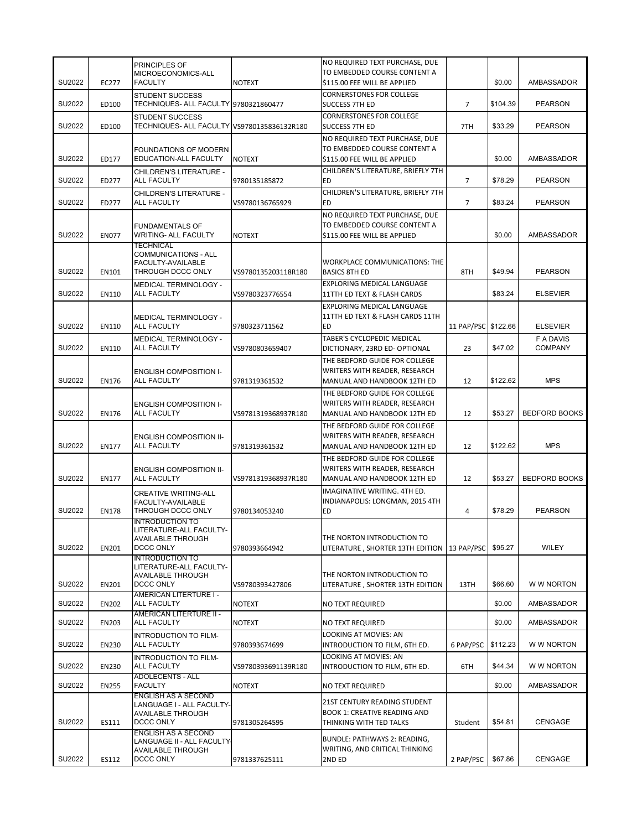|        |              | PRINCIPLES OF                                                                                                 |                     | NO REQUIRED TEXT PURCHASE, DUE<br>TO EMBEDDED COURSE CONTENT A                                 |                     |          |                             |
|--------|--------------|---------------------------------------------------------------------------------------------------------------|---------------------|------------------------------------------------------------------------------------------------|---------------------|----------|-----------------------------|
| SU2022 | EC277        | MICROECONOMICS-ALL<br><b>FACULTY</b>                                                                          | <b>NOTEXT</b>       | \$115.00 FEE WILL BE APPLIED                                                                   |                     | \$0.00   | AMBASSADOR                  |
| SU2022 | ED100        | <b>STUDENT SUCCESS</b><br>TECHNIQUES- ALL FACULTY 9780321860477                                               |                     | <b>CORNERSTONES FOR COLLEGE</b><br>SUCCESS 7TH ED                                              | $\overline{7}$      | \$104.39 | <b>PEARSON</b>              |
| SU2022 | ED100        | <b>STUDENT SUCCESS</b><br>TECHNIQUES- ALL FACULTY VS9780135836132R180                                         |                     | <b>CORNERSTONES FOR COLLEGE</b><br><b>SUCCESS 7TH ED</b>                                       | 7TH                 | \$33.29  | <b>PEARSON</b>              |
| SU2022 | ED177        | FOUNDATIONS OF MODERN<br>EDUCATION-ALL FACULTY                                                                | <b>NOTEXT</b>       | NO REQUIRED TEXT PURCHASE, DUE<br>TO EMBEDDED COURSE CONTENT A<br>\$115.00 FEE WILL BE APPLIED |                     | \$0.00   | AMBASSADOR                  |
| SU2022 | ED277        | CHILDREN'S LITERATURE -<br>ALL FACULTY                                                                        | 9780135185872       | CHILDREN'S LITERATURE, BRIEFLY 7TH<br>ED                                                       | 7                   | \$78.29  | <b>PEARSON</b>              |
| SU2022 | ED277        | CHILDREN'S LITERATURE -<br><b>ALL FACULTY</b>                                                                 | VS9780136765929     | CHILDREN'S LITERATURE, BRIEFLY 7TH<br>ED                                                       | $\overline{7}$      | \$83.24  | <b>PEARSON</b>              |
| SU2022 | <b>EN077</b> | <b>FUNDAMENTALS OF</b><br><b>WRITING- ALL FACULTY</b>                                                         | <b>NOTEXT</b>       | NO REQUIRED TEXT PURCHASE, DUE<br>TO EMBEDDED COURSE CONTENT A<br>\$115.00 FEE WILL BE APPLIED |                     | \$0.00   | AMBASSADOR                  |
| SU2022 | EN101        | <b>TECHNICAL</b><br><b>COMMUNICATIONS - ALL</b><br>FACULTY-AVAILABLE<br>THROUGH DCCC ONLY                     | VS9780135203118R180 | <b>WORKPLACE COMMUNICATIONS: THE</b><br><b>BASICS 8TH ED</b>                                   | 8TH                 | \$49.94  | <b>PEARSON</b>              |
| SU2022 | EN110        | MEDICAL TERMINOLOGY -<br><b>ALL FACULTY</b>                                                                   | VS9780323776554     | EXPLORING MEDICAL LANGUAGE<br>11TTH ED TEXT & FLASH CARDS                                      |                     | \$83.24  | <b>ELSEVIER</b>             |
| SU2022 | EN110        | MEDICAL TERMINOLOGY -<br><b>ALL FACULTY</b>                                                                   | 9780323711562       | EXPLORING MEDICAL LANGUAGE<br>11TTH ED TEXT & FLASH CARDS 11TH<br>ED                           | 11 PAP/PSC \$122.66 |          | <b>ELSEVIER</b>             |
| SU2022 | EN110        | MEDICAL TERMINOLOGY -<br><b>ALL FACULTY</b>                                                                   | VS9780803659407     | TABER'S CYCLOPEDIC MEDICAL<br>DICTIONARY, 23RD ED- OPTIONAL                                    | 23                  | \$47.02  | F A DAVIS<br><b>COMPANY</b> |
| SU2022 | <b>EN176</b> | <b>ENGLISH COMPOSITION I-</b><br>ALL FACULTY                                                                  | 9781319361532       | THE BEDFORD GUIDE FOR COLLEGE<br>WRITERS WITH READER, RESEARCH<br>MANUAL AND HANDBOOK 12TH ED  | 12                  | \$122.62 | <b>MPS</b>                  |
| SU2022 | <b>EN176</b> | <b>ENGLISH COMPOSITION I-</b><br>ALL FACULTY                                                                  | VS9781319368937R180 | THE BEDFORD GUIDE FOR COLLEGE<br>WRITERS WITH READER, RESEARCH<br>MANUAL AND HANDBOOK 12TH ED  | 12                  | \$53.27  | <b>BEDFORD BOOKS</b>        |
| SU2022 | <b>EN177</b> | <b>ENGLISH COMPOSITION II-</b><br><b>ALL FACULTY</b>                                                          | 9781319361532       | THE BEDFORD GUIDE FOR COLLEGE<br>WRITERS WITH READER, RESEARCH<br>MANUAL AND HANDBOOK 12TH ED  | 12                  | \$122.62 | <b>MPS</b>                  |
| SU2022 | <b>EN177</b> | <b>ENGLISH COMPOSITION II-</b><br><b>ALL FACULTY</b>                                                          | VS9781319368937R180 | THE BEDFORD GUIDE FOR COLLEGE<br>WRITERS WITH READER, RESEARCH<br>MANUAL AND HANDBOOK 12TH ED  | 12                  | \$53.27  | <b>BEDFORD BOOKS</b>        |
| SU2022 | <b>EN178</b> | <b>CREATIVE WRITING-ALL</b><br>FACULTY-AVAILABLE<br>THROUGH DCCC ONLY                                         | 9780134053240       | IMAGINATIVE WRITING. 4TH ED.<br>INDIANAPOLIS: LONGMAN, 2015 4TH<br>ED                          | 4                   | \$78.29  | <b>PEARSON</b>              |
| SU2022 | <b>EN201</b> | <b>INTRODUCTION TO</b><br>LITERATURE-ALL FACULTY-<br><b>AVAILABLE THROUGH</b><br>DCCC ONLY                    | 9780393664942       | THE NORTON INTRODUCTION TO<br>LITERATURE, SHORTER 13TH EDITION                                 | 13 PAP/PSC          | \$95.27  | WILEY                       |
| SU2022 | <b>EN201</b> | <b>INTRODUCTION TO</b><br>LITERATURE-ALL FACULTY-<br>AVAILABLE THROUGH<br>DCCC ONLY                           | VS9780393427806     | THE NORTON INTRODUCTION TO<br>LITERATURE, SHORTER 13TH EDITION                                 | 13TH                | \$66.60  | W W NORTON                  |
| SU2022 | <b>EN202</b> | AMERICAN LITERTURE I -<br>ALL FACULTY                                                                         | <b>NOTEXT</b>       | NO TEXT REQUIRED                                                                               |                     | \$0.00   | AMBASSADOR                  |
| SU2022 | <b>EN203</b> | <b>AMERICAN LITERTURE II -</b><br>ALL FACULTY                                                                 | <b>NOTEXT</b>       | NO TEXT REQUIRED                                                                               |                     | \$0.00   | AMBASSADOR                  |
| SU2022 | <b>EN230</b> | <b>INTRODUCTION TO FILM-</b><br><b>ALL FACULTY</b>                                                            | 9780393674699       | LOOKING AT MOVIES: AN<br>INTRODUCTION TO FILM, 6TH ED.                                         | 6 PAP/PSC           | \$112.23 | W W NORTON                  |
| SU2022 | <b>EN230</b> | INTRODUCTION TO FILM-<br>ALL FACULTY                                                                          | VS9780393691139R180 | LOOKING AT MOVIES: AN<br>INTRODUCTION TO FILM, 6TH ED.                                         | 6TH                 | \$44.34  | W W NORTON                  |
| SU2022 | <b>EN255</b> | <b>ADOLECENTS - ALL</b><br><b>FACULTY</b>                                                                     | <b>NOTEXT</b>       | NO TEXT REQUIRED                                                                               |                     | \$0.00   | AMBASSADOR                  |
| SU2022 | ES111        | <b>ENGLISH AS A SECOND</b><br>LANGUAGE I - ALL FACULTY-<br><b>AVAILABLE THROUGH</b><br>DCCC ONLY              | 9781305264595       | 21ST CENTURY READING STUDENT<br><b>BOOK 1: CREATIVE READING AND</b><br>THINKING WITH TED TALKS | Student             | \$54.81  | <b>CENGAGE</b>              |
| SU2022 | ES112        | <b>ENGLISH AS A SECOND</b><br>LANGUAGE II - ALL FACULTY <sub>'</sub><br><b>AVAILABLE THROUGH</b><br>DCCC ONLY | 9781337625111       | BUNDLE: PATHWAYS 2: READING,<br>WRITING, AND CRITICAL THINKING<br>2ND ED                       | 2 PAP/PSC           | \$67.86  | CENGAGE                     |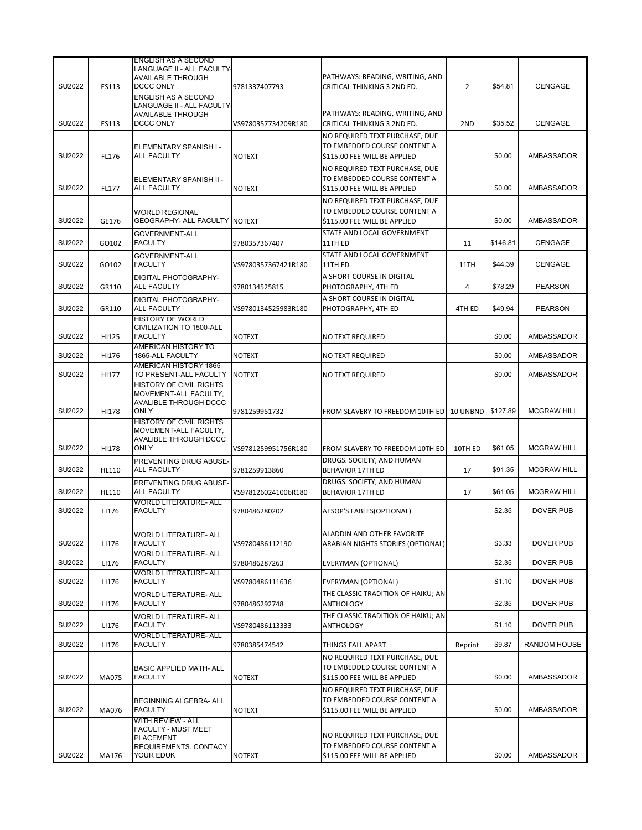|        |              | <b>ENGLISH AS A SECOND</b>                                    |                     |                                                                |                |          |                    |
|--------|--------------|---------------------------------------------------------------|---------------------|----------------------------------------------------------------|----------------|----------|--------------------|
|        |              | LANGUAGE II - ALL FACULTY<br><b>AVAILABLE THROUGH</b>         |                     | PATHWAYS: READING, WRITING, AND                                |                |          |                    |
| SU2022 | ES113        | DCCC ONLY                                                     | 9781337407793       | CRITICAL THINKING 3 2ND ED.                                    | $\overline{2}$ | \$54.81  | CENGAGE            |
|        |              | <b>ENGLISH AS A SECOND</b>                                    |                     |                                                                |                |          |                    |
|        |              | LANGUAGE II - ALL FACULTY                                     |                     |                                                                |                |          |                    |
|        |              | <b>AVAILABLE THROUGH</b>                                      |                     | PATHWAYS: READING, WRITING, AND                                |                |          |                    |
| SU2022 | <b>ES113</b> | <b>DCCC ONLY</b>                                              | VS9780357734209R180 | CRITICAL THINKING 3 2ND ED.                                    | 2ND            | \$35.52  | <b>CENGAGE</b>     |
|        |              |                                                               |                     | NO REQUIRED TEXT PURCHASE, DUE                                 |                |          |                    |
|        |              | ELEMENTARY SPANISH I-                                         |                     | TO EMBEDDED COURSE CONTENT A                                   |                |          |                    |
| SU2022 | FL176        | ALL FACULTY                                                   | <b>NOTEXT</b>       | \$115.00 FEE WILL BE APPLIED                                   |                | \$0.00   | AMBASSADOR         |
|        |              |                                                               |                     | NO REQUIRED TEXT PURCHASE, DUE                                 |                |          |                    |
|        |              | ELEMENTARY SPANISH II -                                       |                     | TO EMBEDDED COURSE CONTENT A                                   |                |          |                    |
| SU2022 | FL177        | <b>ALL FACULTY</b>                                            | <b>NOTEXT</b>       | \$115.00 FEE WILL BE APPLIED                                   |                | \$0.00   | AMBASSADOR         |
|        |              |                                                               |                     | NO REQUIRED TEXT PURCHASE. DUE                                 |                |          |                    |
| SU2022 | GE176        | <b>WORLD REGIONAL</b><br><b>GEOGRAPHY- ALL FACULTY NOTEXT</b> |                     | TO EMBEDDED COURSE CONTENT A<br>\$115.00 FEE WILL BE APPLIED   |                | \$0.00   | AMBASSADOR         |
|        |              |                                                               |                     |                                                                |                |          |                    |
| SU2022 | GO102        | GOVERNMENT-ALL<br><b>FACULTY</b>                              | 9780357367407       | STATE AND LOCAL GOVERNMENT<br>11TH ED                          | 11             | \$146.81 | <b>CENGAGE</b>     |
|        |              |                                                               |                     |                                                                |                |          |                    |
| SU2022 | GO102        | GOVERNMENT-ALL<br><b>FACULTY</b>                              | VS9780357367421R180 | STATE AND LOCAL GOVERNMENT<br>11TH ED                          | 11TH           | \$44.39  | CENGAGE            |
|        |              |                                                               |                     | A SHORT COURSE IN DIGITAL                                      |                |          |                    |
| SU2022 | GR110        | DIGITAL PHOTOGRAPHY-<br><b>ALL FACULTY</b>                    | 9780134525815       | PHOTOGRAPHY, 4TH ED                                            | 4              | \$78.29  | <b>PEARSON</b>     |
|        |              |                                                               |                     | A SHORT COURSE IN DIGITAL                                      |                |          |                    |
| SU2022 | GR110        | DIGITAL PHOTOGRAPHY-<br><b>ALL FACULTY</b>                    | VS9780134525983R180 | PHOTOGRAPHY, 4TH ED                                            | 4TH ED         | \$49.94  | <b>PEARSON</b>     |
|        |              | <b>HISTORY OF WORLD</b>                                       |                     |                                                                |                |          |                    |
|        |              | CIVILIZATION TO 1500-ALL                                      |                     |                                                                |                |          |                    |
| SU2022 | HI125        | <b>FACULTY</b>                                                | <b>NOTEXT</b>       | NO TEXT REQUIRED                                               |                | \$0.00   | AMBASSADOR         |
|        |              | AMERICAN HISTORY TO                                           |                     |                                                                |                |          |                    |
| SU2022 | HI176        | 1865-ALL FACULTY                                              | <b>NOTEXT</b>       | <b>NO TEXT REQUIRED</b>                                        |                | \$0.00   | AMBASSADOR         |
| SU2022 | HI177        | <b>AMERICAN HISTORY 1865</b><br>TO PRESENT-ALL FACULTY        | <b>NOTEXT</b>       | NO TEXT REQUIRED                                               |                | \$0.00   | AMBASSADOR         |
|        |              | <b>HISTORY OF CIVIL RIGHTS</b>                                |                     |                                                                |                |          |                    |
|        |              | MOVEMENT-ALL FACULTY,                                         |                     |                                                                |                |          |                    |
|        |              | <b>AVALIBLE THROUGH DCCC</b>                                  |                     |                                                                |                |          |                    |
| SU2022 | HI178        | <b>ONLY</b>                                                   | 9781259951732       | FROM SLAVERY TO FREEDOM 10TH ED 10 UNBND \$127.89              |                |          | <b>MCGRAW HILL</b> |
|        |              | <b>HISTORY OF CIVIL RIGHTS</b><br>MOVEMENT-ALL FACULTY,       |                     |                                                                |                |          |                    |
|        |              | AVALIBLE THROUGH DCCC                                         |                     |                                                                |                |          |                    |
| SU2022 | HI178        | <b>ONLY</b>                                                   | VS9781259951756R180 | FROM SLAVERY TO FREEDOM 10TH ED                                | 10TH ED        | \$61.05  | <b>MCGRAW HILL</b> |
|        |              | PREVENTING DRUG ABUSE-                                        |                     | DRUGS. SOCIETY, AND HUMAN                                      |                |          |                    |
| SU2022 | HL110        | <b>ALL FACULTY</b>                                            | 9781259913860       | <b>BEHAVIOR 17TH ED</b>                                        | 17             | \$91.35  | <b>MCGRAW HILL</b> |
|        |              | PREVENTING DRUG ABUSE-                                        |                     | DRUGS. SOCIETY, AND HUMAN                                      |                |          |                    |
| SU2022 | HL110        | <b>ALL FACULTY</b>                                            | VS9781260241006R180 | <b>BEHAVIOR 17TH ED</b>                                        | 17             | \$61.05  | <b>MCGRAW HILL</b> |
| SU2022 | LI176        | <b>WORLD LITERATURE- ALL</b><br><b>FACULTY</b>                | 9780486280202       | AESOP'S FABLES(OPTIONAL)                                       |                | \$2.35   | <b>DOVER PUB</b>   |
|        |              |                                                               |                     |                                                                |                |          |                    |
|        |              |                                                               |                     | ALADDIN AND OTHER FAVORITE                                     |                |          |                    |
| SU2022 | LI176        | <b>WORLD LITERATURE- ALL</b><br><b>FACULTY</b>                | VS9780486112190     | ARABIAN NIGHTS STORIES (OPTIONAL)                              |                | \$3.33   | <b>DOVER PUB</b>   |
|        |              | <b>WORLD LITERATURE- ALL</b>                                  |                     |                                                                |                |          |                    |
| SU2022 | LI176        | <b>FACULTY</b>                                                | 9780486287263       | EVERYMAN (OPTIONAL)                                            |                | \$2.35   | DOVER PUB          |
|        |              | <b>WORLD LITERATURE- ALL</b>                                  |                     |                                                                |                |          |                    |
| SU2022 | LI176        | <b>FACULTY</b>                                                | VS9780486111636     | EVERYMAN (OPTIONAL)                                            |                | \$1.10   | DOVER PUB          |
|        |              | <b>WORLD LITERATURE- ALL</b>                                  |                     | THE CLASSIC TRADITION OF HAIKU; AN                             |                |          |                    |
| SU2022 | LI176        | <b>FACULTY</b>                                                | 9780486292748       | ANTHOLOGY                                                      |                | \$2.35   | <b>DOVER PUB</b>   |
|        |              | <b>WORLD LITERATURE- ALL</b>                                  |                     | THE CLASSIC TRADITION OF HAIKU; AN                             |                |          |                    |
| SU2022 | LI176        | <b>FACULTY</b>                                                | VS9780486113333     | <b>ANTHOLOGY</b>                                               |                | \$1.10   | DOVER PUB          |
| SU2022 | LI176        | <b>WORLD LITERATURE- ALL</b><br><b>FACULTY</b>                | 9780385474542       |                                                                |                | \$9.87   | RANDOM HOUSE       |
|        |              |                                                               |                     | THINGS FALL APART                                              | Reprint        |          |                    |
|        |              |                                                               |                     | NO REQUIRED TEXT PURCHASE, DUE<br>TO EMBEDDED COURSE CONTENT A |                |          |                    |
| SU2022 | MA075        | <b>BASIC APPLIED MATH- ALL</b><br><b>FACULTY</b>              | <b>NOTEXT</b>       | \$115.00 FEE WILL BE APPLIED                                   |                | \$0.00   | AMBASSADOR         |
|        |              |                                                               |                     | NO REQUIRED TEXT PURCHASE, DUE                                 |                |          |                    |
|        |              |                                                               |                     | TO EMBEDDED COURSE CONTENT A                                   |                |          |                    |
| SU2022 | MA076        | BEGINNING ALGEBRA- ALL<br><b>FACULTY</b>                      | <b>NOTEXT</b>       | \$115.00 FEE WILL BE APPLIED                                   |                | \$0.00   | AMBASSADOR         |
|        |              | WITH REVIEW - ALL                                             |                     |                                                                |                |          |                    |
|        |              | FACULTY - MUST MEET                                           |                     |                                                                |                |          |                    |
|        |              | <b>PLACEMENT</b>                                              |                     | NO REQUIRED TEXT PURCHASE, DUE<br>TO EMBEDDED COURSE CONTENT A |                |          |                    |
| SU2022 | MA176        | REQUIREMENTS. CONTACY<br>YOUR EDUK                            | <b>NOTEXT</b>       | \$115.00 FEE WILL BE APPLIED                                   |                | \$0.00   | AMBASSADOR         |
|        |              |                                                               |                     |                                                                |                |          |                    |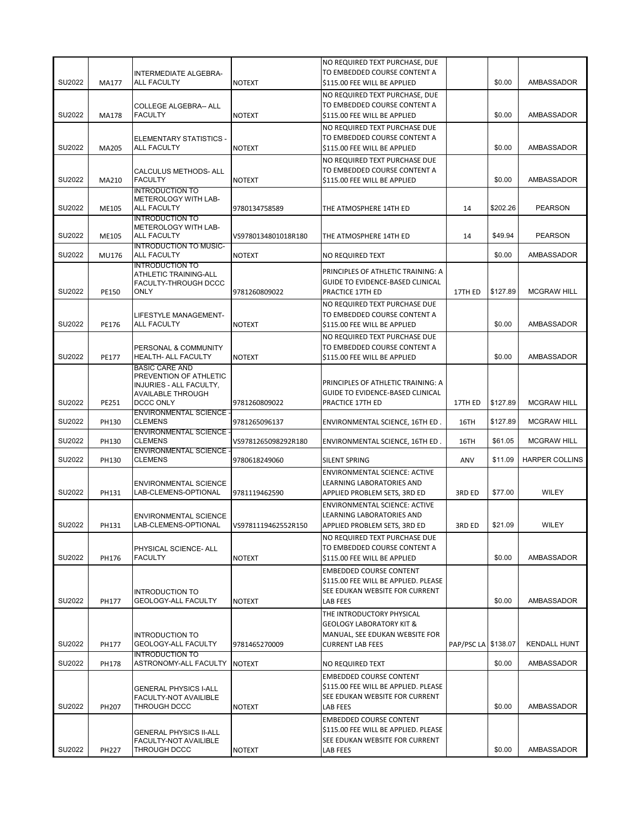| SU2022<br>MA177<br><b>ALL FACULTY</b><br>\$115.00 FEE WILL BE APPLIED<br>\$0.00<br><b>NOTEXT</b><br>NO REQUIRED TEXT PURCHASE, DUE<br>TO EMBEDDED COURSE CONTENT A<br>COLLEGE ALGEBRA-- ALL<br>SU2022<br><b>FACULTY</b><br>\$0.00<br>MA178<br><b>NOTEXT</b><br>\$115.00 FEE WILL BE APPLIED<br>NO REQUIRED TEXT PURCHASE DUE<br>TO EMBEDDED COURSE CONTENT A<br>ELEMENTARY STATISTICS -<br>SU2022<br><b>ALL FACULTY</b><br>\$0.00<br>MA205<br><b>NOTEXT</b><br>\$115.00 FEE WILL BE APPLIED<br>NO REQUIRED TEXT PURCHASE DUE<br>TO EMBEDDED COURSE CONTENT A<br><b>CALCULUS METHODS- ALL</b><br>SU2022<br>\$0.00<br>MA210<br><b>FACULTY</b><br><b>NOTEXT</b><br>\$115.00 FEE WILL BE APPLIED<br><b>INTRODUCTION TO</b><br>METEROLOGY WITH LAB-<br>SU2022<br><b>ALL FACULTY</b><br>\$202.26<br>ME105<br>9780134758589<br>THE ATMOSPHERE 14TH ED<br>14<br><b>INTRODUCTION TO</b><br>METEROLOGY WITH LAB-<br>SU2022<br>\$49.94<br><b>ALL FACULTY</b><br>THE ATMOSPHERE 14TH ED<br>ME105<br>VS9780134801018R180<br>14<br><b>INTRODUCTION TO MUSIC-</b><br>SU2022<br>MU176<br><b>ALL FACULTY</b><br><b>NOTEXT</b><br>NO REQUIRED TEXT<br>\$0.00<br><b>INTRODUCTION TO</b><br>PRINCIPLES OF ATHLETIC TRAINING: A<br>ATHLETIC TRAINING-ALL<br>GUIDE TO EVIDENCE-BASED CLINICAL<br><b>FACULTY-THROUGH DCCC</b><br>SU2022<br><b>ONLY</b><br>\$127.89<br>PE150<br>9781260809022<br>PRACTICE 17TH ED<br>17TH ED<br>NO REQUIRED TEXT PURCHASE DUE<br>TO EMBEDDED COURSE CONTENT A<br>LIFESTYLE MANAGEMENT-<br>SU2022<br><b>ALL FACULTY</b><br>\$0.00<br>PE176<br><b>NOTEXT</b><br>\$115.00 FEE WILL BE APPLIED<br>NO REQUIRED TEXT PURCHASE DUE<br>TO EMBEDDED COURSE CONTENT A<br>PERSONAL & COMMUNITY<br>SU2022<br>\$0.00<br>PE177<br><b>HEALTH- ALL FACULTY</b><br><b>NOTEXT</b><br>\$115.00 FEE WILL BE APPLIED<br><b>BASIC CARE AND</b> | AMBASSADOR<br>AMBASSADOR<br>AMBASSADOR<br>AMBASSADOR |
|----------------------------------------------------------------------------------------------------------------------------------------------------------------------------------------------------------------------------------------------------------------------------------------------------------------------------------------------------------------------------------------------------------------------------------------------------------------------------------------------------------------------------------------------------------------------------------------------------------------------------------------------------------------------------------------------------------------------------------------------------------------------------------------------------------------------------------------------------------------------------------------------------------------------------------------------------------------------------------------------------------------------------------------------------------------------------------------------------------------------------------------------------------------------------------------------------------------------------------------------------------------------------------------------------------------------------------------------------------------------------------------------------------------------------------------------------------------------------------------------------------------------------------------------------------------------------------------------------------------------------------------------------------------------------------------------------------------------------------------------------------------------------------------------------------------------------------|------------------------------------------------------|
|                                                                                                                                                                                                                                                                                                                                                                                                                                                                                                                                                                                                                                                                                                                                                                                                                                                                                                                                                                                                                                                                                                                                                                                                                                                                                                                                                                                                                                                                                                                                                                                                                                                                                                                                                                                                                                  |                                                      |
|                                                                                                                                                                                                                                                                                                                                                                                                                                                                                                                                                                                                                                                                                                                                                                                                                                                                                                                                                                                                                                                                                                                                                                                                                                                                                                                                                                                                                                                                                                                                                                                                                                                                                                                                                                                                                                  |                                                      |
|                                                                                                                                                                                                                                                                                                                                                                                                                                                                                                                                                                                                                                                                                                                                                                                                                                                                                                                                                                                                                                                                                                                                                                                                                                                                                                                                                                                                                                                                                                                                                                                                                                                                                                                                                                                                                                  |                                                      |
|                                                                                                                                                                                                                                                                                                                                                                                                                                                                                                                                                                                                                                                                                                                                                                                                                                                                                                                                                                                                                                                                                                                                                                                                                                                                                                                                                                                                                                                                                                                                                                                                                                                                                                                                                                                                                                  |                                                      |
|                                                                                                                                                                                                                                                                                                                                                                                                                                                                                                                                                                                                                                                                                                                                                                                                                                                                                                                                                                                                                                                                                                                                                                                                                                                                                                                                                                                                                                                                                                                                                                                                                                                                                                                                                                                                                                  |                                                      |
|                                                                                                                                                                                                                                                                                                                                                                                                                                                                                                                                                                                                                                                                                                                                                                                                                                                                                                                                                                                                                                                                                                                                                                                                                                                                                                                                                                                                                                                                                                                                                                                                                                                                                                                                                                                                                                  | <b>PEARSON</b>                                       |
|                                                                                                                                                                                                                                                                                                                                                                                                                                                                                                                                                                                                                                                                                                                                                                                                                                                                                                                                                                                                                                                                                                                                                                                                                                                                                                                                                                                                                                                                                                                                                                                                                                                                                                                                                                                                                                  | <b>PEARSON</b>                                       |
|                                                                                                                                                                                                                                                                                                                                                                                                                                                                                                                                                                                                                                                                                                                                                                                                                                                                                                                                                                                                                                                                                                                                                                                                                                                                                                                                                                                                                                                                                                                                                                                                                                                                                                                                                                                                                                  | AMBASSADOR                                           |
|                                                                                                                                                                                                                                                                                                                                                                                                                                                                                                                                                                                                                                                                                                                                                                                                                                                                                                                                                                                                                                                                                                                                                                                                                                                                                                                                                                                                                                                                                                                                                                                                                                                                                                                                                                                                                                  | <b>MCGRAW HILL</b>                                   |
|                                                                                                                                                                                                                                                                                                                                                                                                                                                                                                                                                                                                                                                                                                                                                                                                                                                                                                                                                                                                                                                                                                                                                                                                                                                                                                                                                                                                                                                                                                                                                                                                                                                                                                                                                                                                                                  | <b>AMBASSADOR</b>                                    |
|                                                                                                                                                                                                                                                                                                                                                                                                                                                                                                                                                                                                                                                                                                                                                                                                                                                                                                                                                                                                                                                                                                                                                                                                                                                                                                                                                                                                                                                                                                                                                                                                                                                                                                                                                                                                                                  |                                                      |
|                                                                                                                                                                                                                                                                                                                                                                                                                                                                                                                                                                                                                                                                                                                                                                                                                                                                                                                                                                                                                                                                                                                                                                                                                                                                                                                                                                                                                                                                                                                                                                                                                                                                                                                                                                                                                                  | AMBASSADOR                                           |
| PREVENTION OF ATHLETIC<br>PRINCIPLES OF ATHLETIC TRAINING: A<br>INJURIES - ALL FACULTY,<br>GUIDE TO EVIDENCE-BASED CLINICAL<br><b>AVAILABLE THROUGH</b><br>SU2022<br>PE251<br>DCCC ONLY<br>\$127.89<br>9781260809022<br>PRACTICE 17TH ED<br>17TH ED                                                                                                                                                                                                                                                                                                                                                                                                                                                                                                                                                                                                                                                                                                                                                                                                                                                                                                                                                                                                                                                                                                                                                                                                                                                                                                                                                                                                                                                                                                                                                                              | <b>MCGRAW HILL</b>                                   |
| <b>ENVIRONMENTAL SCIENCE -</b><br>SU2022<br>PH130<br><b>CLEMENS</b><br>\$127.89<br>9781265096137<br>ENVIRONMENTAL SCIENCE, 16TH ED.<br>16TH                                                                                                                                                                                                                                                                                                                                                                                                                                                                                                                                                                                                                                                                                                                                                                                                                                                                                                                                                                                                                                                                                                                                                                                                                                                                                                                                                                                                                                                                                                                                                                                                                                                                                      | <b>MCGRAW HILL</b>                                   |
| <b>ENVIRONMENTAL SCIENCE -</b>                                                                                                                                                                                                                                                                                                                                                                                                                                                                                                                                                                                                                                                                                                                                                                                                                                                                                                                                                                                                                                                                                                                                                                                                                                                                                                                                                                                                                                                                                                                                                                                                                                                                                                                                                                                                   |                                                      |
| SU2022<br>PH130<br><b>CLEMENS</b><br>ENVIRONMENTAL SCIENCE, 16TH ED.<br>\$61.05<br>VS9781265098292R180<br>16TH<br><b>ENVIRONMENTAL SCIENCE -</b>                                                                                                                                                                                                                                                                                                                                                                                                                                                                                                                                                                                                                                                                                                                                                                                                                                                                                                                                                                                                                                                                                                                                                                                                                                                                                                                                                                                                                                                                                                                                                                                                                                                                                 | <b>MCGRAW HILL</b>                                   |
| SU2022<br>PH130<br><b>CLEMENS</b><br>SILENT SPRING<br>\$11.09<br>9780618249060<br>ANV                                                                                                                                                                                                                                                                                                                                                                                                                                                                                                                                                                                                                                                                                                                                                                                                                                                                                                                                                                                                                                                                                                                                                                                                                                                                                                                                                                                                                                                                                                                                                                                                                                                                                                                                            | <b>HARPER COLLINS</b>                                |
| ENVIRONMENTAL SCIENCE: ACTIVE<br>LEARNING LABORATORIES AND<br><b>ENVIRONMENTAL SCIENCE</b><br>SU2022<br>LAB-CLEMENS-OPTIONAL<br>PH131<br>3RD ED<br>\$77.00<br>9781119462590<br>APPLIED PROBLEM SETS, 3RD ED                                                                                                                                                                                                                                                                                                                                                                                                                                                                                                                                                                                                                                                                                                                                                                                                                                                                                                                                                                                                                                                                                                                                                                                                                                                                                                                                                                                                                                                                                                                                                                                                                      | WILEY                                                |
| ENVIRONMENTAL SCIENCE: ACTIVE<br>LEARNING LABORATORIES AND<br><b>ENVIRONMENTAL SCIENCE</b><br>SU2022<br>LAB-CLEMENS-OPTIONAL<br>\$21.09<br>VS9781119462552R150<br>PH131<br>APPLIED PROBLEM SETS, 3RD ED<br>3RD ED                                                                                                                                                                                                                                                                                                                                                                                                                                                                                                                                                                                                                                                                                                                                                                                                                                                                                                                                                                                                                                                                                                                                                                                                                                                                                                                                                                                                                                                                                                                                                                                                                | WILEY                                                |
| NO REQUIRED TEXT PURCHASE DUE<br>TO EMBEDDED COURSE CONTENT A<br>PHYSICAL SCIENCE- ALL<br>SU2022<br><b>FACULTY</b><br><b>NOTEXT</b><br>\$0.00<br>PH176<br>\$115.00 FEE WILL BE APPLIED                                                                                                                                                                                                                                                                                                                                                                                                                                                                                                                                                                                                                                                                                                                                                                                                                                                                                                                                                                                                                                                                                                                                                                                                                                                                                                                                                                                                                                                                                                                                                                                                                                           | AMBASSADOR                                           |
| <b>EMBEDDED COURSE CONTENT</b><br>\$115.00 FEE WILL BE APPLIED. PLEASE<br>SEE EDUKAN WEBSITE FOR CURRENT<br><b>INTRODUCTION TO</b><br>SU2022<br>\$0.00<br>PH177<br>GEOLOGY-ALL FACULTY<br><b>NOTEXT</b><br>LAB FEES                                                                                                                                                                                                                                                                                                                                                                                                                                                                                                                                                                                                                                                                                                                                                                                                                                                                                                                                                                                                                                                                                                                                                                                                                                                                                                                                                                                                                                                                                                                                                                                                              | AMBASSADOR                                           |
| THE INTRODUCTORY PHYSICAL<br><b>GEOLOGY LABORATORY KIT &amp;</b><br>MANUAL, SEE EDUKAN WEBSITE FOR<br><b>INTRODUCTION TO</b><br>SU2022<br>PAP/PSC LA \$138.07<br>PH177<br>GEOLOGY-ALL FACULTY<br><b>CURRENT LAB FEES</b><br>9781465270009                                                                                                                                                                                                                                                                                                                                                                                                                                                                                                                                                                                                                                                                                                                                                                                                                                                                                                                                                                                                                                                                                                                                                                                                                                                                                                                                                                                                                                                                                                                                                                                        | <b>KENDALL HUNT</b>                                  |
| <b>INTRODUCTION TO</b>                                                                                                                                                                                                                                                                                                                                                                                                                                                                                                                                                                                                                                                                                                                                                                                                                                                                                                                                                                                                                                                                                                                                                                                                                                                                                                                                                                                                                                                                                                                                                                                                                                                                                                                                                                                                           |                                                      |
| SU2022<br>\$0.00<br>ASTRONOMY-ALL FACULTY<br><b>NOTEXT</b><br>PH178<br>NO REQUIRED TEXT<br><b>EMBEDDED COURSE CONTENT</b>                                                                                                                                                                                                                                                                                                                                                                                                                                                                                                                                                                                                                                                                                                                                                                                                                                                                                                                                                                                                                                                                                                                                                                                                                                                                                                                                                                                                                                                                                                                                                                                                                                                                                                        | AMBASSADOR                                           |
| \$115.00 FEE WILL BE APPLIED. PLEASE<br><b>GENERAL PHYSICS I-ALL</b><br>SEE EDUKAN WEBSITE FOR CURRENT<br>FACULTY-NOT AVAILIBLE                                                                                                                                                                                                                                                                                                                                                                                                                                                                                                                                                                                                                                                                                                                                                                                                                                                                                                                                                                                                                                                                                                                                                                                                                                                                                                                                                                                                                                                                                                                                                                                                                                                                                                  |                                                      |
| SU2022<br><b>THROUGH DCCC</b><br>\$0.00<br>PH207<br><b>NOTEXT</b><br>LAB FEES<br><b>EMBEDDED COURSE CONTENT</b>                                                                                                                                                                                                                                                                                                                                                                                                                                                                                                                                                                                                                                                                                                                                                                                                                                                                                                                                                                                                                                                                                                                                                                                                                                                                                                                                                                                                                                                                                                                                                                                                                                                                                                                  |                                                      |
| \$115.00 FEE WILL BE APPLIED. PLEASE<br><b>GENERAL PHYSICS II-ALL</b><br>SEE EDUKAN WEBSITE FOR CURRENT<br>FACULTY-NOT AVAILIBLE<br>SU2022<br>THROUGH DCCC<br>\$0.00<br>PH227<br><b>NOTEXT</b><br>LAB FEES<br>AMBASSADOR                                                                                                                                                                                                                                                                                                                                                                                                                                                                                                                                                                                                                                                                                                                                                                                                                                                                                                                                                                                                                                                                                                                                                                                                                                                                                                                                                                                                                                                                                                                                                                                                         | AMBASSADOR                                           |